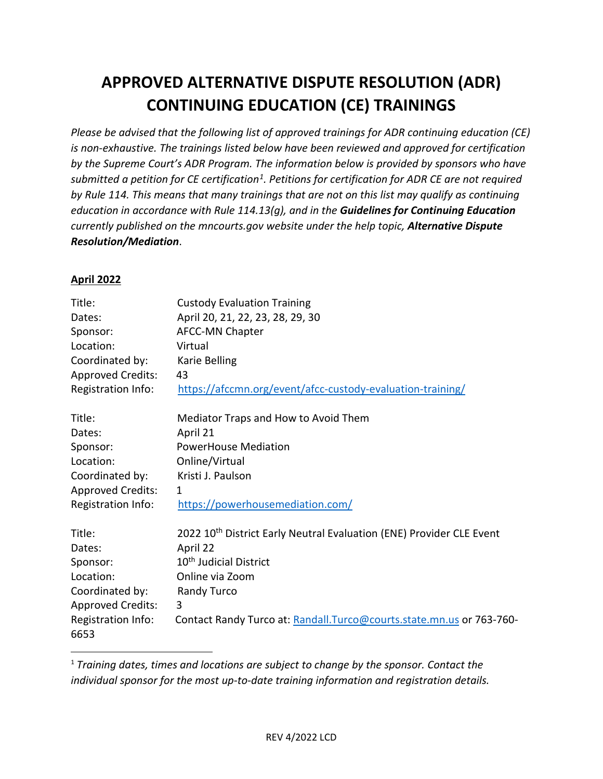# **APPROVED ALTERNATIVE DISPUTE RESOLUTION (ADR) CONTINUING EDUCATION (CE) TRAININGS**

*Please be advised that the following list of approved trainings for ADR continuing education (CE) is non-exhaustive. The trainings listed below have been reviewed and approved for certification by the Supreme Court's ADR Program. The information below is provided by sponsors who have submitted a petition for CE certification[1.](#page-0-0) Petitions for certification for ADR CE are not required by Rule 114. This means that many trainings that are not on this list may qualify as continuing education in accordance with Rule 114.13(g), and in the Guidelines for Continuing Education currently published on the mncourts.gov website under the help topic, Alternative Dispute Resolution/Mediation*.

#### **April 2022**

| Title:                                                                                                                 | <b>Custody Evaluation Training</b>                                                                                                                                                                                                                       |
|------------------------------------------------------------------------------------------------------------------------|----------------------------------------------------------------------------------------------------------------------------------------------------------------------------------------------------------------------------------------------------------|
| Dates:                                                                                                                 | April 20, 21, 22, 23, 28, 29, 30                                                                                                                                                                                                                         |
| Sponsor:                                                                                                               | AFCC-MN Chapter                                                                                                                                                                                                                                          |
| Location:                                                                                                              | Virtual                                                                                                                                                                                                                                                  |
| Coordinated by:                                                                                                        | Karie Belling                                                                                                                                                                                                                                            |
| <b>Approved Credits:</b>                                                                                               | 43                                                                                                                                                                                                                                                       |
| Registration Info:                                                                                                     | https://afccmn.org/event/afcc-custody-evaluation-training/                                                                                                                                                                                               |
| Title:                                                                                                                 | Mediator Traps and How to Avoid Them                                                                                                                                                                                                                     |
| Dates:                                                                                                                 | April 21                                                                                                                                                                                                                                                 |
| Sponsor:                                                                                                               | <b>PowerHouse Mediation</b>                                                                                                                                                                                                                              |
| Location:                                                                                                              | Online/Virtual                                                                                                                                                                                                                                           |
| Coordinated by:                                                                                                        | Kristi J. Paulson                                                                                                                                                                                                                                        |
| <b>Approved Credits:</b>                                                                                               | 1                                                                                                                                                                                                                                                        |
| Registration Info:                                                                                                     | https://powerhousemediation.com/                                                                                                                                                                                                                         |
| Title:<br>Dates:<br>Sponsor:<br>Location:<br>Coordinated by:<br><b>Approved Credits:</b><br>Registration Info:<br>6653 | 2022 10 <sup>th</sup> District Early Neutral Evaluation (ENE) Provider CLE Event<br>April 22<br>10 <sup>th</sup> Judicial District<br>Online via Zoom<br><b>Randy Turco</b><br>3<br>Contact Randy Turco at: Randall.Turco@courts.state.mn.us or 763-760- |

<span id="page-0-0"></span><sup>1</sup> *Training dates, times and locations are subject to change by the sponsor. Contact the individual sponsor for the most up-to-date training information and registration details.*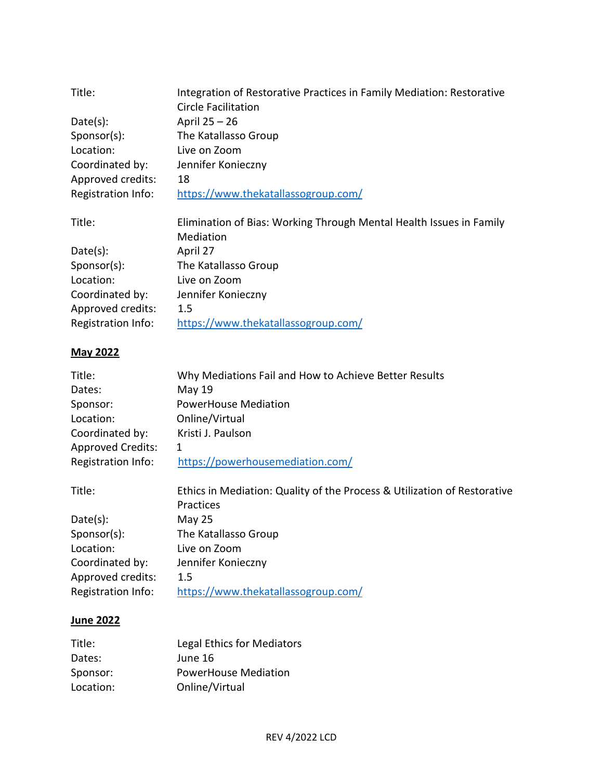| Title:             | Integration of Restorative Practices in Family Mediation: Restorative<br>Circle Facilitation |
|--------------------|----------------------------------------------------------------------------------------------|
| Date(s):           | April 25 - 26                                                                                |
| $Sponsor(s)$ :     | The Katallasso Group                                                                         |
| Location:          | Live on Zoom                                                                                 |
| Coordinated by:    | Jennifer Konieczny                                                                           |
| Approved credits:  | 18                                                                                           |
| Registration Info: | https://www.thekatallassogroup.com/                                                          |
|                    |                                                                                              |
|                    |                                                                                              |
| Title:             | Elimination of Bias: Working Through Mental Health Issues in Family                          |
|                    | Mediation                                                                                    |
| Date(s):           | April 27                                                                                     |
| $Sponsor(s)$ :     | The Katallasso Group                                                                         |
| Location:          | Live on Zoom                                                                                 |
| Coordinated by:    | Jennifer Konieczny                                                                           |
| Approved credits:  | $1.5\,$                                                                                      |
| Registration Info: | https://www.thekatallassogroup.com/                                                          |

## **May 2022**

| Title:                   | Why Mediations Fail and How to Achieve Better Results                    |
|--------------------------|--------------------------------------------------------------------------|
| Dates:                   | May 19                                                                   |
| Sponsor:                 | <b>PowerHouse Mediation</b>                                              |
| Location:                | Online/Virtual                                                           |
| Coordinated by:          | Kristi J. Paulson                                                        |
| <b>Approved Credits:</b> | 1                                                                        |
| Registration Info:       | https://powerhousemediation.com/                                         |
| Title:                   | Ethics in Mediation: Quality of the Process & Utilization of Restorative |

|                    | Practices                           |
|--------------------|-------------------------------------|
| Date(s):           | May $25$                            |
| $Sponsor(s)$ :     | The Katallasso Group                |
| Location:          | Live on Zoom                        |
| Coordinated by:    | Jennifer Konieczny                  |
| Approved credits:  | 1.5                                 |
| Registration Info: | https://www.thekatallassogroup.com/ |

## **June 2022**

| Title:    | <b>Legal Ethics for Mediators</b> |
|-----------|-----------------------------------|
| Dates:    | June 16                           |
| Sponsor:  | <b>PowerHouse Mediation</b>       |
| Location: | Online/Virtual                    |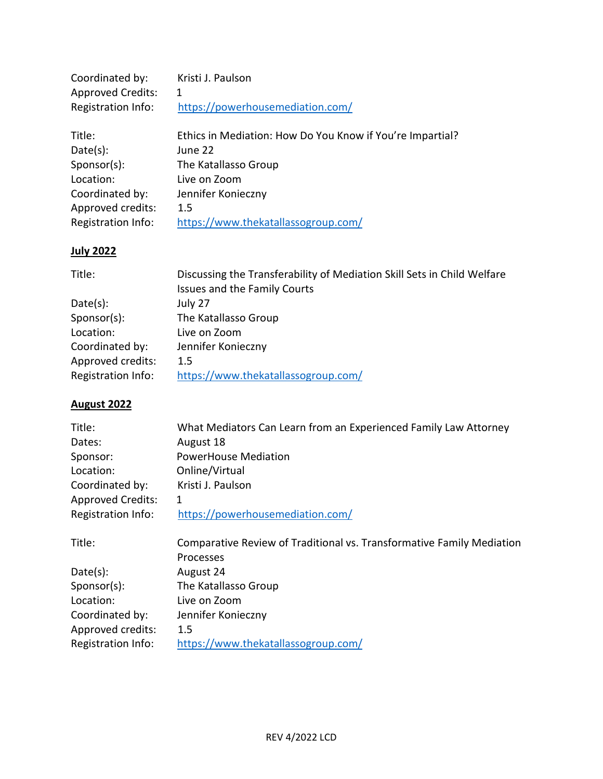| Coordinated by:          | Kristi J. Paulson                                         |
|--------------------------|-----------------------------------------------------------|
| <b>Approved Credits:</b> | 1                                                         |
| Registration Info:       | https://powerhousemediation.com/                          |
|                          |                                                           |
| Title:                   | Ethics in Mediation: How Do You Know if You're Impartial? |
| Date(s):                 | June 22                                                   |
| $Sponsor(s)$ :           | The Katallasso Group                                      |
| Location:                | Live on Zoom                                              |
| Coordinated by:          | Jennifer Konieczny                                        |
| Approved credits:        | 1.5                                                       |
| Registration Info:       | https://www.thekatallassogroup.com/                       |
|                          |                                                           |

### **July 2022**

| Title:             | Discussing the Transferability of Mediation Skill Sets in Child Welfare |
|--------------------|-------------------------------------------------------------------------|
|                    | <b>Issues and the Family Courts</b>                                     |
| Date(s):           | July 27                                                                 |
| Sponsor(s):        | The Katallasso Group                                                    |
| Location:          | Live on Zoom                                                            |
| Coordinated by:    | Jennifer Konieczny                                                      |
| Approved credits:  | 1.5                                                                     |
| Registration Info: | https://www.thekatallassogroup.com/                                     |

### **August 2022**

| Title:                   | What Mediators Can Learn from an Experienced Family Law Attorney      |
|--------------------------|-----------------------------------------------------------------------|
| Dates:                   | August 18                                                             |
| Sponsor:                 | PowerHouse Mediation                                                  |
| Location:                | Online/Virtual                                                        |
| Coordinated by:          | Kristi J. Paulson                                                     |
| <b>Approved Credits:</b> | 1                                                                     |
| Registration Info:       | https://powerhousemediation.com/                                      |
|                          |                                                                       |
| Title:                   | Comparative Review of Traditional vs. Transformative Family Mediation |
|                          | Processes                                                             |
| Date(s):                 | August 24                                                             |
| $Sponsor(s)$ :           | The Katallasso Group                                                  |
| Location:                | Live on Zoom                                                          |
| Coordinated by:          | Jennifer Konieczny                                                    |
| Approved credits:        | 1.5                                                                   |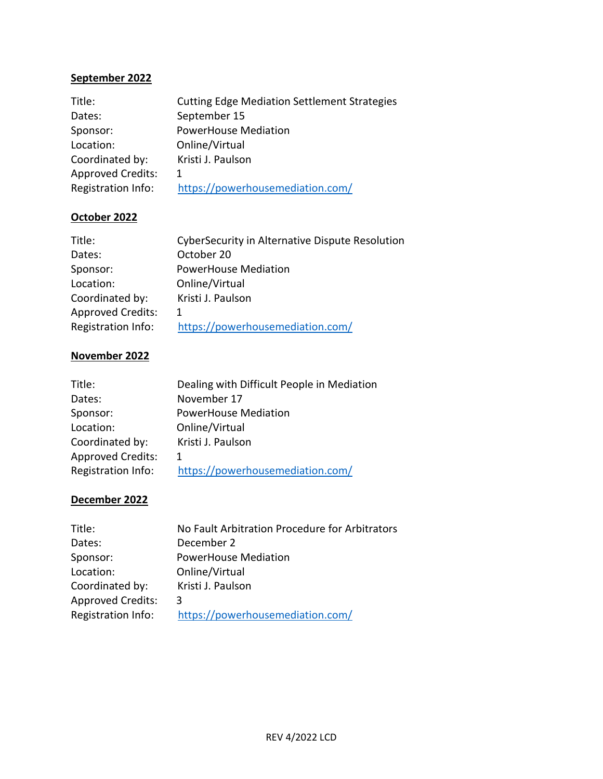## **September 2022**

| Title:                   | <b>Cutting Edge Mediation Settlement Strategies</b> |
|--------------------------|-----------------------------------------------------|
| Dates:                   | September 15                                        |
| Sponsor:                 | <b>PowerHouse Mediation</b>                         |
| Location:                | Online/Virtual                                      |
| Coordinated by:          | Kristi J. Paulson                                   |
| <b>Approved Credits:</b> | 1                                                   |
| Registration Info:       | https://powerhousemediation.com/                    |

## **October 2022**

| Title:                   | <b>CyberSecurity in Alternative Dispute Resolution</b> |
|--------------------------|--------------------------------------------------------|
| Dates:                   | October 20                                             |
| Sponsor:                 | <b>PowerHouse Mediation</b>                            |
| Location:                | Online/Virtual                                         |
| Coordinated by:          | Kristi J. Paulson                                      |
| <b>Approved Credits:</b> | 1                                                      |
| Registration Info:       | https://powerhousemediation.com/                       |
|                          |                                                        |

## **November 2022**

| Title:                   | Dealing with Difficult People in Mediation |
|--------------------------|--------------------------------------------|
| Dates:                   | November 17                                |
| Sponsor:                 | <b>PowerHouse Mediation</b>                |
| Location:                | Online/Virtual                             |
| Coordinated by:          | Kristi J. Paulson                          |
| <b>Approved Credits:</b> | 1                                          |
| Registration Info:       | https://powerhousemediation.com/           |
|                          |                                            |

## **December 2022**

| Title:                   | No Fault Arbitration Procedure for Arbitrators |
|--------------------------|------------------------------------------------|
| Dates:                   | December 2                                     |
| Sponsor:                 | <b>PowerHouse Mediation</b>                    |
| Location:                | Online/Virtual                                 |
| Coordinated by:          | Kristi J. Paulson                              |
| <b>Approved Credits:</b> | 3                                              |
| Registration Info:       | https://powerhousemediation.com/               |